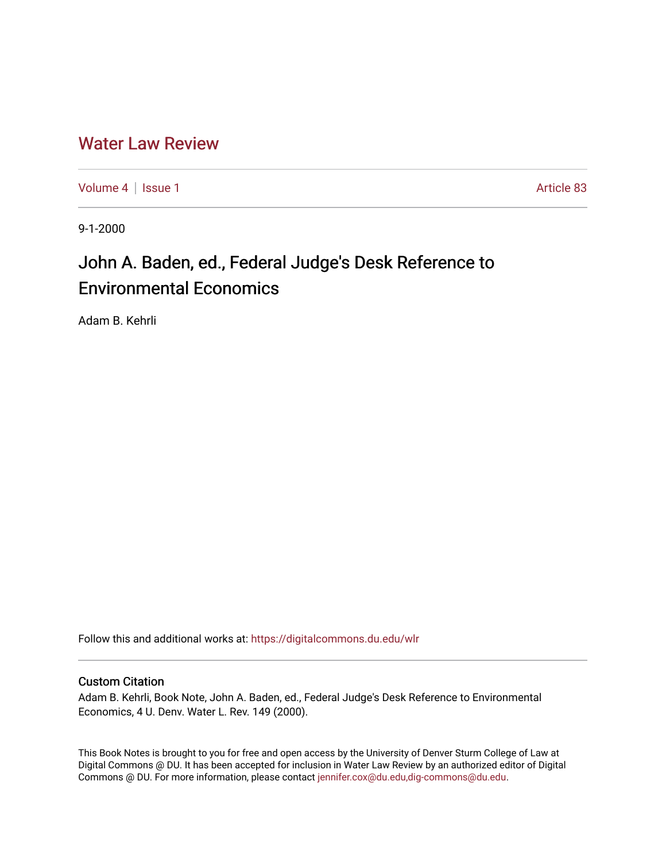## [Water Law Review](https://digitalcommons.du.edu/wlr)

[Volume 4](https://digitalcommons.du.edu/wlr/vol4) | [Issue 1](https://digitalcommons.du.edu/wlr/vol4/iss1) Article 83

9-1-2000

# John A. Baden, ed., Federal Judge's Desk Reference to Environmental Economics

Adam B. Kehrli

Follow this and additional works at: [https://digitalcommons.du.edu/wlr](https://digitalcommons.du.edu/wlr?utm_source=digitalcommons.du.edu%2Fwlr%2Fvol4%2Fiss1%2F83&utm_medium=PDF&utm_campaign=PDFCoverPages) 

#### Custom Citation

Adam B. Kehrli, Book Note, John A. Baden, ed., Federal Judge's Desk Reference to Environmental Economics, 4 U. Denv. Water L. Rev. 149 (2000).

This Book Notes is brought to you for free and open access by the University of Denver Sturm College of Law at Digital Commons @ DU. It has been accepted for inclusion in Water Law Review by an authorized editor of Digital Commons @ DU. For more information, please contact [jennifer.cox@du.edu,dig-commons@du.edu.](mailto:jennifer.cox@du.edu,dig-commons@du.edu)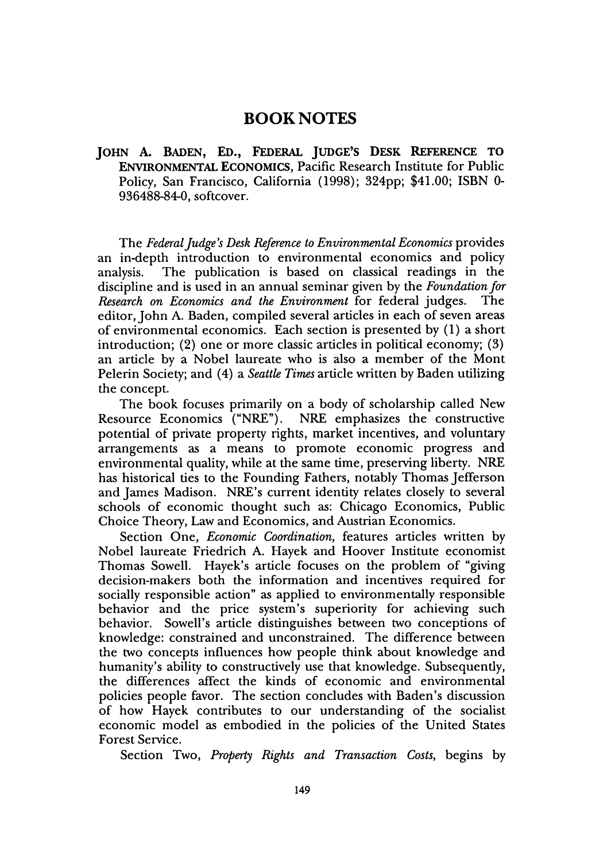### **BOOK NOTES**

**JOHN A. BADEN, ED., FEDERAL JUDGE'S DESK REFERENCE TO** ENVIRONMENTAL ECONOMICS, Pacific Research Institute for Public Policy, San Francisco, California (1998); 324pp; \$41.00; ISBN 0-936488-84-0, softcover.

The *Federal Judge's Desk Reference to Environmental Economics* provides an in-depth introduction to environmental economics and policy analysis. The publication is based on classical readings in the discipline and is used in an annual seminar given by the *Foundation for Research on Economics and the Environment* for federal judges. The editor, John A. Baden, compiled several articles in each of seven areas of environmental economics. Each section is presented by (1) a short introduction; (2) one or more classic articles in political economy; (3) an article by a Nobel laureate who is also a member of the Mont Pelerin Society; and (4) a *Seattle Times* article written by Baden utilizing the concept.

The book focuses primarily on a body of scholarship called New Resource Economics ("NRE"). NRE emphasizes the constructive potential of private property rights, market incentives, and voluntary arrangements as a means to promote economic progress and environmental quality, while at the same time, preserving liberty. NRE has historical ties to the Founding Fathers, notably Thomas Jefferson and James Madison. NRE's current identity relates closely to several schools of economic thought such as: Chicago Economics, Public Choice Theory, Law and Economics, and Austrian Economics.

Section One, *Economic Coordination,* features articles written by Nobel laureate Friedrich A. Hayek and Hoover Institute economist Thomas Sowell. Hayek's article focuses on the problem of "giving decision-makers both the information and incentives required for socially responsible action" as applied to environmentally responsible behavior and the price system's superiority for achieving such behavior. Sowell's article distinguishes between two conceptions of knowledge: constrained and unconstrained. The difference between the two concepts influences how people think about knowledge and humanity's ability to constructively use that knowledge. Subsequenty, the differences affect the kinds of economic and environmental policies people favor. The section concludes with Baden's discussion of how Hayek contributes to our understanding of the socialist economic model as embodied in the policies of the United States Forest Service.

Section Two, *Property Rights and Transaction Costs,* begins by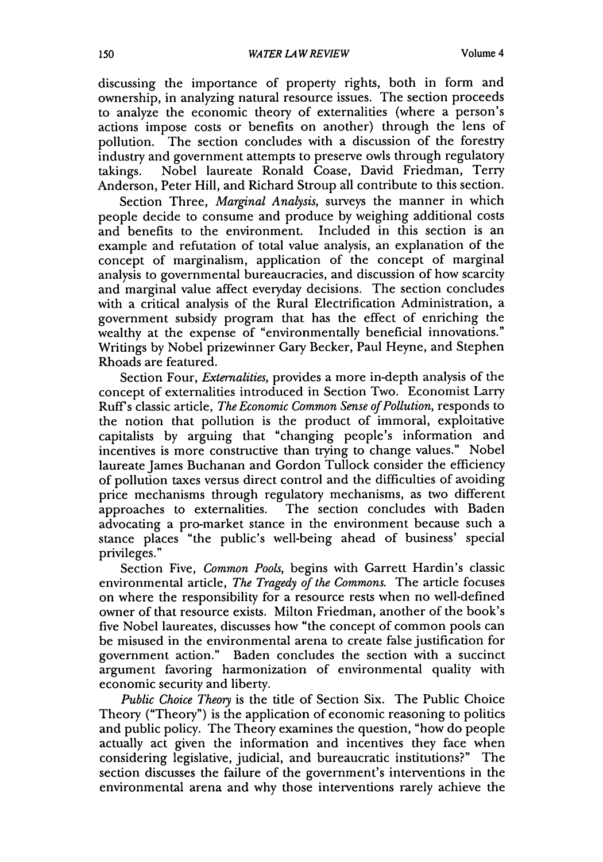discussing the importance of property rights, both in form and ownership, in analyzing natural resource issues. The section proceeds to analyze the economic theory of externalities (where a person's actions impose costs or benefits on another) through the lens of pollution. The section concludes with a discussion of the forestry industry and government attempts to preserve owls through regulatory takings. Nobel laureate Ronald Coase, David Friedman, Terry Anderson, Peter Hill, and Richard Stroup all contribute to this section.

Section Three, *Marginal Analysis,* surveys the manner in which people decide to consume and produce by weighing additional costs and benefits to the environment. Included in this section is an example and refutation of total value analysis, an explanation of the concept of marginalism, application of the concept of marginal analysis to governmental bureaucracies, and discussion of how scarcity and marginal value affect everyday decisions. The section concludes with a critical analysis of the Rural Electrification Administration, a government subsidy program that has the effect of enriching the wealthy at the expense of "environmentally beneficial innovations." Writings by Nobel prizewinner Gary Becker, Paul Heyne, and Stephen Rhoads are featured.

Section Four, *Externalities,* provides a more in-depth analysis of the concept of externalities introduced in Section Two. Economist Larry Ruffs classic article, *The Economic Common Sense of Pollution,* responds to the notion that pollution is the product of immoral, exploitative capitalists by arguing that "changing people's information and incentives is more constructive than trying to change values." Nobel laureate James Buchanan and Gordon Tullock consider the efficiency of pollution taxes versus direct control and the difficulties of avoiding price mechanisms through regulatory mechanisms, as two different approaches to externalities. The section concludes with Baden advocating a pro-market stance in the environment because such a stance places "the public's well-being ahead of business' special privileges."

Section Five, *Common Pools,* begins with Garrett Hardin's classic environmental article, *The Tragedy of the Commons.* The article focuses on where the responsibility for a resource rests when no well-defined owner of that resource exists. Milton Friedman, another of the book's five Nobel laureates, discusses how "the concept of common pools can be misused in the environmental arena to create false justification for government action." Baden concludes the section with a succinct argument favoring harmonization of environmental quality with economic security and liberty.

*Public Choice Theory* is the title of Section Six. The Public Choice Theory ("Theory") is the application of economic reasoning to politics and public policy. The Theory examines the question, "how do people actually act given the information and incentives they face when considering legislative, judicial, and bureaucratic institutions?" The section discusses the failure of the government's interventions in the environmental arena and why those interventions rarely achieve the